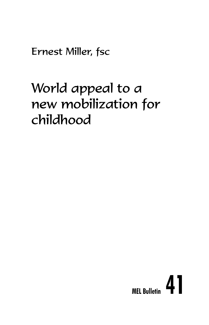Ernest Miller, fsc

# World appeal to a new mobilization for childhood

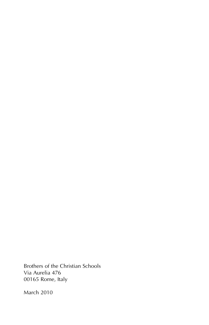Brothers of the Christian Schools Via Aurelia 476 00165 Rome, Italy

March 2010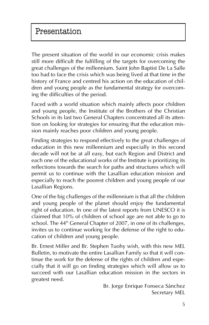The present situation of the world in our economic crisis makes still more difficult the fulfilling of the targets for overcoming the great challenges of the millennium. Saint John Baptist De La Salle too had to face the crisis which was being lived at that time in the history of France and centred his action on the education of children and young people as the fundamental strategy for overcoming the difficulties of the period.

Faced with a world situation which mainly affects poor children and young people, the Institute of the Brothers of the Christian Schools in its last two General Chapters concentrated all its attention on looking for strategies for ensuring that the education mission mainly reaches poor children and young people.

Finding strategies to respond effectively to the great challenges of education in this new millennium and especially in this second decade will not be at all easy, but each Region and District and each one of the educational works of the Institute is prioritizing its reflections towards the search for paths and structures which will permit us to continue with the Lasallian education mission and especially to reach the poorest children and young people of our Lasallian Regions.

One of the big challenges of the millennium is that all the children and young people of the planet should enjoy the fundamental right of education. In one of the latest reports from UNESCO it is claimed that 10% of children of school age are not able to go to school. The 44<sup>th</sup> General Chapter of 2007, in one of its challenges, invites us to continue working for the defense of the right to education of children and young people.

Br. Ernest Miller and Br. Stephen Tuohy wish, with this new MEL Bulletin, to motivate the entire Lasallian Family so that it will continue the work for the defense of the rights of children and especially that it will go on finding strategies which will allow us to succeed with our Lasallian education mission in the sectors in greatest need.

> Br. Jorge Enrique Fonseca Sánchez Secretary MEL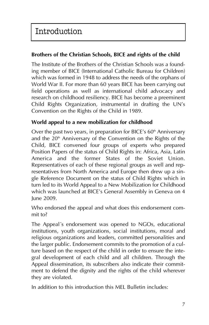## **Brothers of the Christian Schools, BICE and rights of the child**

The Institute of the Brothers of the Christian Schools was a founding member of BICE (International Catholic Bureau for Children) which was formed in 1948 to address the needs of the orphans of World War II. For more than 60 years BICE has been carrying out field operations as well as international child advocacy and research on childhood resiliency. BICE has become a preeminent Child Rights Organization, instrumental in drafting the UN's Convention on the Rights of the Child in 1989.

#### **World appeal to a new mobilization for childhood**

Over the past two years, in preparation for BICE's  $60<sup>th</sup>$  Anniversary and the  $20<sup>th</sup>$  Anniversary of the Convention on the Rights of the Child, BICE convened four groups of experts who prepared Position Papers of the status of Child Rights in: Africa, Asia, Latin America and the former States of the Soviet Union. Representatives of each of these regional groups as well and representatives from North America and Europe then drew up a single Reference Document on the status of Child Rights which in turn led to its World Appeal to a New Mobilization for Childhood which was launched at BICE's General Assembly in Geneva on 4 June 2009.

Who endorsed the appeal and what does this endorsement commit to?

The Appeal´s endorsement was opened to NGOs, educational institutions, youth organizations, social institutions, moral and religious organizations and leaders, committed personalities and the larger public. Endorsement commits to the promotion of a culture based on the respect of the child in order to ensure the integral development of each child and all children. Through the Appeal dissemination, its subscribers also indicate their commitment to defend the dignity and the rights of the child wherever they are violated.

In addition to this introduction this MEL Bulletin includes: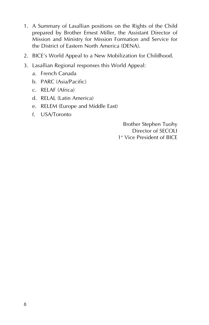- 1. A Summary of Lasallian positions on the Rights of the Child prepared by Brother Ernest Miller, the Assistant Director of Mission and Ministry for Mission Formation and Service for the District of Eastern North America (DENA).
- 2. BICE's World Appeal to a New Mobilization for Childhood.
- 3. Lasallian Regional responses this World Appeal:
	- a. French Canada
	- b. PARC (Asia/Pacific)
	- c. RELAF (Africa)
	- d. RELAL (Latin America)
	- e. RELEM (Europe and Middle East)
	- f. USA/Toronto

Brother Stephen Tuohy Director of SECOLI 1st Vice President of BICE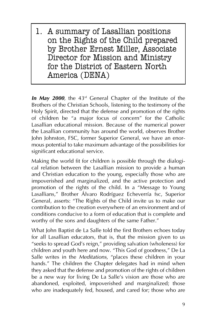1. A summary of Lasallian positions on the Rights of the Child prepared by Brother Ernest Miller, Associate Director for Mission and Ministry for the District of Eastern North America (DENA)

In May 2000, the 43<sup>rd</sup> General Chapter of the Institute of the Brothers of the Christian Schools, listening to the testimony of the Holy Spirit, directed that the defense and promotion of the rights of children be "a major focus of concern" for the Catholic Lasallian educational mission. Because of the numerical power the Lasallian community has around the world, observes Brother John Johnston, FSC, former Superior General, we have an enormous potential to take maximum advantage of the possibilities for significant educational service.

Making the world fit for children is possible through the dialogical relation between the Lasallian mission to provide a human and Christian education to the young, especially those who are impoverished and marginalized, and the active protection and promotion of the rights of the child. In a "Message to Young Lasallians," Brother Álvaro Rodríguez Echeverría fsc, Superior General, asserts: "The Rights of the Child invite us to make our contribution to the creation everywhere of an environment and of conditions conducive to a form of education that is complete and worthy of the sons and daughters of the same Father."

What John Baptist de La Salle told the first Brothers echoes today for all Lasallian educators, that is, that the mission given to us "seeks to spread God's reign," providing salvation (wholeness) for children and youth here and now. "This God of goodness," De La Salle writes in the *Meditations*, "places these children in your hands." The children the Chapter delegates had in mind when they asked that the defense and promotion of the rights of children be a new way for living De La Salle's vision are those who are abandoned, exploited, impoverished and marginalized; those who are inadequately fed, housed, and cared for; those who are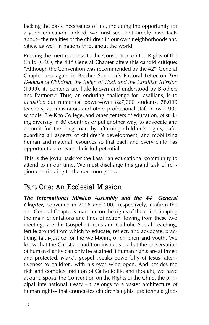lacking the basic necessities of life, including the opportunity for a good education. Indeed, we must see —not simply have facts about— the realities of the children in our own neighborhoods and cities, as well in nations throughout the world.

Probing the inert response to the Convention on the Rights of the Child  $(CRC)$ , the  $43<sup>rd</sup>$  General Chapter offers this candid critique: "Although the Convention was recommended by the  $42<sup>nd</sup>$  General Chapter and again in Brother Superior's Pastoral Letter on *The Defense of Children, the Reign of God, and the Lasallian Mission* (1999), its contents are little known and understood by Brothers and Partners." Thus, an enduring challenge for Lasallians, is to *actualize* our numerical power—over 827,000 students, 78,000 teachers, administrators and other professional staff in over 900 schools, Pre-K to College, and other centers of education, of striking diversity in 80 countries or put another way, to advocate and commit for the long road by affirming children's rights, safeguarding all aspects of children's development, and mobilizing human and material resources so that each and every child has opportunities to reach their full potential.

This is the joyful task for the Lasallian educational community to attend to in our time. We must discharge this grand task of religion contributing to the common good.

# Part One: An Ecclesial Mission

*The International Mission Assembly and the 44th General Chapter*, convened in 2006 and 2007 respectively, reaffirm the  $43<sup>rd</sup>$  General Chapter's mandate on the rights of the child. Shaping the main orientations and lines of action flowing from these two meetings are the Gospel of Jesus and Catholic Social Teaching, fertile ground from which to educate, reflect, and advocate, practicing faith-justice for the well-being of children and youth. We know that the Christian tradition instructs us that the preservation of human dignity can only be attained if human rights are affirmed and protected. Mark's gospel speaks powerfully of lesus' attentiveness to children, with his eyes wide open. And besides the rich and complex tradition of Catholic life and thought, we have at our disposal the Convention on the Rights of the Child, the principal international treaty —it belongs to a vaster architecture of human rights— that enunciates children's rights, proffering a glob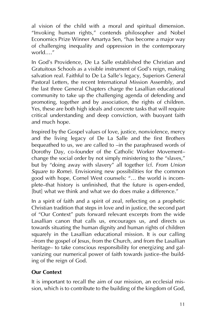al vision of the child with a moral and spiritual dimension. "Invoking human rights," contends philosopher and Nobel Economics Prize Winner Amartya Sen, "has become a major way of challenging inequality and oppression in the contemporary world…."

In God's Providence, De La Salle established the Christian and Gratuitous Schools as a visible instrument of God's reign, making salvation real. Faithful to De La Salle's legacy, Superiors General Pastoral Letters, the recent International Mission Assembly, and the last three General Chapters charge the Lasallian educational community to take up the challenging agenda of defending and promoting, together and by association, the rights of children. Yes, these are both high ideals and concrete tasks that will require critical understanding and deep conviction, with buoyant faith and much hope.

Inspired by the Gospel values of love, justice, nonviolence, mercy and the living legacy of De La Salle and the first Brothers bequeathed to us, we are called to —in the paraphrased words of Dorothy Day, co-founder of the Catholic Worker Movement change the social order by not simply ministering to the "slaves," but by "doing away with slavery" all together (cf. *From Union Square to Rome*). Envisioning new possibilities for the common good with hope, Cornel West counsels: "… the world is incomplete—that history is unfinished, that the future is open-ended, [but] what we think and what we do does make a difference."

In a spirit of faith and a spirit of zeal, reflecting on a prophetic Christian tradition that steps in love and in justice, the second part of "Our Context" puts forward relevant excerpts from the wide Lasallian canon that calls us, encourages us, and directs us towards situating the human dignity and human rights of children squarely in the Lasallian educational mission. It is our calling —from the gospel of Jesus, from the Church, and from the Lasallian heritage– to take conscious responsibility for energizing and galvanizing our numerical power of faith towards justice—the building of the reign of God.

#### **Our Context**

It is important to recall the aim of our mission, an ecclesial mission, which is to contribute to the building of the kingdom of God,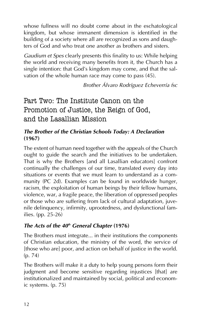whose fullness will no doubt come about in the eschatological kingdom, but whose immanent dimension is identified in the building of a society where all are recognized as sons and daughters of God and who treat one another as brothers and sisters.

*Gaudium et Spes* clearly presents this finality to us: While helping the world and receiving many benefits from it, the Church has a single intention: that God's kingdom may come, and that the salvation of the whole human race may come to pass (45).

*Brother Álvaro Rodríguez Echeverría fsc*

Part Two: The Institute Canon on the Promotion of Justice, the Reign of God, and the Lasallian Mission

# *The Brother of the Christian Schools Today: A Declaration* **(1967)**

The extent of human need together with the appeals of the Church ought to guide the search and the initiatives to be undertaken. That is why the Brothers [and all Lasallian educators] confront continually the challenges of our time, translated every day into situations or events that we must learn to understand as a community (PC 2d). Examples can be found in worldwide hunger, racism, the exploitation of human beings by their fellow humans, violence, war, a fragile peace, the liberation of oppressed peoples or those who are suffering from lack of cultural adaptation, juvenile delinquency, infirmity, uprootedness, and dysfunctional families. (pp. 25-26)

## *The Acts of the 40th General Chapter* **(1976)**

The Brothers must integrate... in their institutions the components of Christian education, the ministry of the word, the service of [those who are] poor, and action on behalf of justice in the world. (p. 74)

The Brothers will make it a duty to help young persons form their judgment and become sensitive regarding injustices [that] are institutionalized and maintained by social, political and economic systems. (p. 75)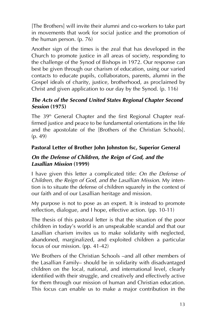[The Brothers] will invite their alumni and co-workers to take part in movements that work for social justice and the promotion of the human person. (p. 76)

Another sign of the times is the zeal that has developed in the Church to promote justice in all areas of society, responding to the challenge of the Synod of Bishops in 1972. Our response can best be given through our charism of education, using our varied contacts to educate pupils, collaborators, parents, alumni in the Gospel ideals of charity, justice, brotherhood, as proclaimed by Christ and given application to our day by the Synod. (p. 116)

#### *The Acts of the Second United States Regional Chapter Second Session* **(1975)**

The 39<sup>th</sup> General Chapter and the first Regional Chapter reaffirmed justice and peace to be fundamental orientations in the life and the apostolate of the [Brothers of the Christian Schools]. (p. 49)

#### **Pastoral Letter of Brother John Johnston fsc, Superior General**

#### *On the Defense of Children, the Reign of God, and the Lasallian Mission* **(1999)**

I have given this letter a complicated title: *On the Defense of Children, the Reign of God, and the Lasallian Mission*. My intention is to situate the defense of children squarely in the context of our faith and of our Lasallian heritage and mission.

My purpose is not to pose as an expert. It is instead to promote reflection, dialogue, and I hope, effective action. (pp. 10-11)

The thesis of this pastoral letter is that the situation of the poor children in today's world is an unspeakable scandal and that our Lasallian charism invites us to make solidarity with neglected, abandoned, marginalized, and exploited children a particular focus of our mission. (pp. 41-42)

We Brothers of the Christian Schools —and all other members of the Lasallian Family— should be in solidarity with disadvantaged children on the local, national, and international level, clearly identified with their struggle, and creatively and effectively active for them through our mission of human and Christian education. This focus can enable us to make a major contribution in the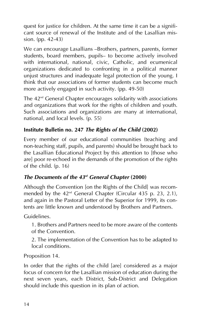quest for justice for children. At the same time it can be a significant source of renewal of the Institute and of the Lasallian mission. (pp. 42-43)

We can encourage Lasallians —Brothers, partners, parents, former students, board members, pupils— to become actively involved with international, national, civic, Catholic, and ecumenical organizations dedicated to confronting in a political manner unjust structures and inadequate legal protection of the young. I think that our associations of former students can become much more actively engaged in such activity. (pp. 49-50)

The  $42<sup>nd</sup>$  General Chapter encourages solidarity with associations and organizations that work for the rights of children and youth. Such associations and organizations are many at international, national, and local levels. (p. 55)

# **Institute Bulletin no. 247** *The Rights of the Child* **(2002)**

Every member of our educational communities (teaching and non-teaching staff, pupils, and parents) should be brought back to the Lasallian Educational Project by this attention to [those who are] poor re-echoed in the demands of the promotion of the rights of the child. (p. 16)

## *The Documents of the 43rd General Chapter* **(2000)**

Although the Convention [on the Rights of the Child] was recommended by the 42<sup>nd</sup> General Chapter (Circular 435 p. 23, 2.1), and again in the Pastoral Letter of the Superior for 1999, its contents are little known and understood by Brothers and Partners.

Guidelines.

1. Brothers and Partners need to be more aware of the contents of the Convention.

2. The implementation of the Convention has to be adapted to local conditions.

Proposition 14.

In order that the rights of the child [are] considered as a major focus of concern for the Lasallian mission of education during the next seven years, each District, Sub-District and Delegation should include this question in its plan of action.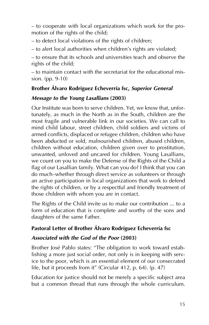— to cooperate with local organizations which work for the promotion of the rights of the child;

— to detect local violations of the rights of children;

— to alert local authorities when children's rights are violated;

— to ensure that its schools and universities teach and observe the rights of the child;

— to maintain contact with the secretariat for the educational mission. (pp. 9-10)

## **Brother Álvaro Rodríguez Echeverría fsc,** *Superior General*

#### *Message to the Young Lasallians* **(2003)**

Our Institute was born to serve children. Yet, we know that, unfortunately, as much in the North as in the South, children are the most fragile and vulnerable link in our societies. We can call to mind child labour, street children, child soldiers and victims of armed conflicts, displaced or refugee children, children who have been abducted or sold, malnourished children, abused children, children without education, children given over to prostitution, unwanted, unloved and uncared for children. Young Lasallians, we count on you to make the Defense of the Rights of the Child a flag of our Lasallian family. What can you do? I think that you can do much—whether through direct service as volunteers or through an active participation in local organizations that work to defend the rights of children, or by a respectful and friendly treatment of those children with whom you are in contact.

The Rights of the Child invite us to make our contribution ... to a form of education that is complete and worthy of the sons and daughters of the same Father.

## **Pastoral Letter of Brother Álvaro Rodríguez Echeverría fsc**

#### *Associated with the God of the Poor* **(2003)**

Brother José Pablo states: "The obligation to work toward establishing a more just social order, not only is in keeping with service to the poor, which is an essential element of our consecrated life, but it proceeds from it" (Circular 412, p. 64). (p. 47)

Education for justice should not be merely a specific subject area but a common thread that runs through the whole curriculum.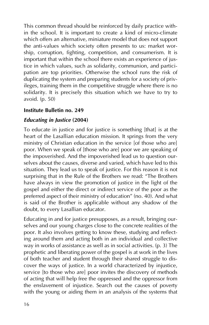This common thread should be reinforced by daily practice within the school. It is important to create a kind of micro-climate which offers an alternative, miniature model that does not support the anti-values which society often presents to us: market worship, corruption, fighting, competition, and consumerism. It is important that within the school there exists an experience of justice in which values, such as solidarity, communion, and participation are top priorities. Otherwise the school runs the risk of duplicating the system and preparing students for a society of privileges, training them in the competitive struggle where there is no solidarity. It is precisely this situation which we have to try to avoid. (p. 50)

#### **Institute Bulletin no. 249**

#### *Educating in Justice* **(2004)**

To educate in justice and for justice is something [that] is at the heart of the Lasallian education mission. It springs from the very ministry of Christian education in the service [of those who are] poor. When we speak of [those who are] poor we are speaking of the impoverished. And the impoverished lead us to question ourselves about the causes, diverse and varied, which have led to this situation. They lead us to speak of justice. For this reason it is not surprising that in the Rule of the Brothers we read: "The Brothers have always in view the promotion of justice in the light of the gospel and either the direct or indirect service of the poor as the preferred aspect of their ministry of education" (no. 40). And what is said of the Brother is applicable without any shadow of the doubt, to every Lasallian educator.

Educating in and for justice presupposes, as a result, bringing ourselves and our young charges close to the concrete realities of the poor. It also involves getting to know these, studying and reflecting around them and acting both in an individual and collective way in works of assistance as well as in social activities. (p. 3) The prophetic and liberating power of the gospel is at work in the lives of both teacher and student through their shared struggle to discover the ways of justice. In a world characterized by injustice, service [to those who are] poor invites the discovery of methods of acting that will help free the oppressed and the oppressor from the enslavement of injustice. Search out the causes of poverty with the young or aiding them in an analysis of the systems that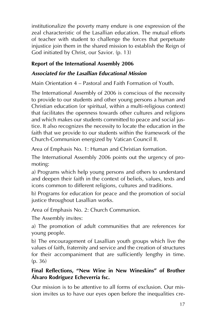institutionalize the poverty many endure is one expression of the zeal characteristic of the Lasallian education. The mutual efforts of teacher with student to challenge the forces that perpetuate injustice join them in the shared mission to establish the Reign of God initiated by Christ, our Savior. (p. 13)

# **Report of the International Assembly 2006**

# *Associated for the Lasallian Educational Mission*

Main Orientation 4 — Pastoral and Faith Formation of Youth.

The International Assembly of 2006 is conscious of the necessity to provide to our students and other young persons a human and Christian education (or spiritual, within a multi-religious context) that facilitates the openness towards other cultures and religions and which makes our students committed to peace and social justice. It also recognizes the necessity to locate the education in the faith that we provide to our students within the framework of the Church-Communion energized by Vatican Council II.

Area of Emphasis No. 1: Human and Christian formation.

The International Assembly 2006 points out the urgency of promoting:

a) Programs which help young persons and others to understand and deepen their faith in the context of beliefs, values, texts and icons common to different religions, cultures and traditions.

b) Programs for education for peace and the promotion of social justice throughout Lasallian works.

Area of Emphasis No. 2: Church Communion.

The Assembly invites:

a) The promotion of adult communities that are references for young people.

b) The encouragement of Lasallian youth groups which live the values of faith, fraternity and service and the creation of structures for their accompaniment that are sufficiently lengthy in time. (p. 36)

## **Final Reflections, "New Wine in New Wineskins" of Brother Álvaro Rodríguez Echeverría fsc.**

Our mission is to be attentive to all forms of exclusion. Our mission invites us to have our eyes open before the inequalities cre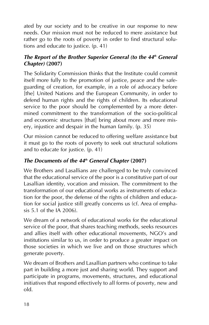ated by our society and to be creative in our response to new needs. Our mission must not be reduced to mere assistance but rather go to the roots of poverty in order to find structural solutions and educate to justice. (p. 41)

#### *The Report of the Brother Superior General (to the 44<sup>th</sup> General***)** *Chapter)* **(2007)**

The Solidarity Commission thinks that the Institute could commit itself more fully to the promotion of justice, peace and the safeguarding of creation, for example, in a role of advocacy before [the] United Nations and the European Community, in order to defend human rights and the rights of children. Its educational service to the poor should be complemented by a more determined commitment to the transformation of the socio-political and economic structures [that] bring about more and more misery, injustice and despair in the human family. (p. 35)

Our mission cannot be reduced to offering welfare assistance but it must go to the roots of poverty to seek out structural solutions and to educate for justice. (p. 41)

# *The Documents of the 44th General Chapter* **(2007)**

We Brothers and Lasallians are challenged to be truly convinced that the educational service of the poor is a constitutive part of our Lasallian identity, vocation and mission. The commitment to the transformation of our educational works as instruments of education for the poor, the defense of the rights of children and education for social justice still greatly concerns us (cf. Area of emphasis  $5.1$  of the  $\overline{14}$  2006).

We dream of a network of educational works for the educational service of the poor, that shares teaching methods, seeks resources and allies itself with other educational movements, NGO's and institutions similar to us, in order to produce a greater impact on those societies in which we live and on those structures which generate poverty.

We dream of Brothers and Lasallian partners who continue to take part in building a more just and sharing world. They support and participate in programs, movements, structures, and educational initiatives that respond effectively to all forms of poverty, new and old.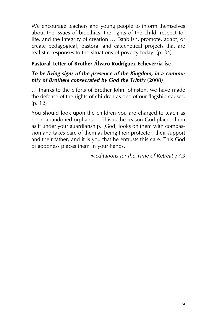We encourage teachers and young people to inform themselves about the issues of bioethics, the rights of the child, respect for life, and the integrity of creation … Establish, promote, adapt, or create pedagogical, pastoral and catechetical projects that are realistic responses to the situations of poverty today. (p. 34)

# **Pastoral Letter of Brother Álvaro Rodríguez Echeverría fsc**

#### *To be living signs of the presence of the Kingdom, in a community of Brothers consecrated by God the Trinity* **(2008)**

… thanks to the efforts of Brother John Johnston, we have made the defense of the rights of children as one of our flagship causes. (p. 12)

You should look upon the children you are charged to teach as poor, abandoned orphans … This is the reason God places them as if under your guardianship. [God] looks on them with compassion and takes care of them as being their protector, their support and their father, and it is you that he entrusts this care. This God of goodness places them in your hands.

*Meditations for the Time of Retreat 37.3*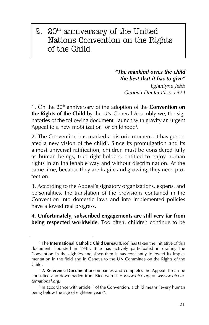# 2.  $20<sup>th</sup>$  anniversary of the United Nations Convention on the Rights of the Child

*"The mankind owes the child the best that it has to give"*

> *Eglantyne Jebb Geneva Declaration 1924*

1. On the 20<sup>th</sup> anniversary of the adoption of the **Convention on the Rights of the Child** by the UN General Assembly we, the signatories of the following document<sup>1</sup> launch with gravity an urgent Appeal to a new mobilization for childhood $^2$ .

2. The Convention has marked a historic moment. It has generated a new vision of the child<sup>3</sup>. Since its promulgation and its almost universal ratification, children must be considered fully as human beings, true right-holders, entitled to enjoy human rights in an inalienable way and without discrimination. At the same time, because they are fragile and growing, they need protection.

3. According to the Appeal's signatory organizations, experts, and personalities, the translation of the provisions contained in the Convention into domestic laws and into implemented policies have allowed real progress.

4. **Unfortunately, subscribed engagements are still very far from being respected worldwide**. Too often, children continue to be

<sup>1</sup> The **International Catholic Child Bureau** (Bice) has taken the initiative of this document. Founded in 1948, Bice has actively participated in drafting the Convention in the eighties and since then it has constantly followed its implementation in the field and in Geneva to the UN Committee on the Rights of the Child.

<sup>2</sup> A **Reference Document** accompanies and completes the Appeal. It can be consulted and downloaded from Bice web site: *www.bice.org* or *wwww.biceinternational.org*.

<sup>&</sup>lt;sup>3</sup> In accordance with article 1 of the Convention, a child means "every human being below the age of eighteen years".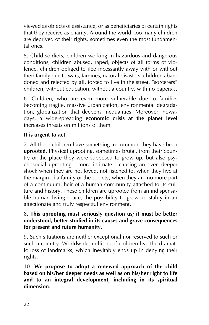viewed as objects of assistance, or as beneficiaries of certain rights that they receive as charity. Around the world, too many children are deprived of their rights, sometimes even the most fundamental ones.

5. Child soldiers, children working in hazardous and dangerous conditions, children abused, raped, objects of all forms of violence, children obliged to flee incessantly away with or without their family due to wars, famines, natural disasters, children abandoned and rejected by all, forced to live in the street, "sorcerers" children, without education, without a country, with no papers…

6. Children, who are even more vulnerable due to families becoming fragile, massive urbanization, environmental degradation, globalization that deepens inequalities. Moreover, nowadays, a wide-spreading **economic crisis at the planet level** increases threats on millions of them.

#### **It is urgent to act.**

7. All these children have something in common: they have been **uprooted**. Physical uprooting, sometimes brutal, from their country or the place they were supposed to grow up; but also psychosocial uprooting - more intimate - causing an even deeper shock when they are not loved, not listened to, when they live at the margin of a family or the society, when they are no more part of a continuum, heir of a human community attached to its culture and history. These children are uprooted from an indispensable human living space, the possibility to grow-up stably in an affectionate and truly respectful environment.

#### 8. **This uprooting must seriously question us; it must be better understood, better studied in its causes and grave consequences for present and future humanity.**

9. Such situations are neither exceptional nor reserved to such or such a country. Worldwide, millions of children live the dramatic loss of landmarks, which inevitably ends up in denying their rights.

10. **We propose to adopt a renewed approach of the child based on his/her deeper needs as well as on his/her right to life and to an integral development, including in its spiritual dimension**.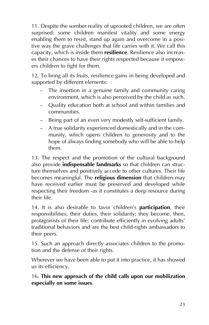11. Despite the somber reality of uprooted children, we are often surprised: some children manifest vitality and some energy enabling them to resist, stand up again and overcome in a positive way the grave challenges that life carries with it. We call this capacity, which is inside them **resilience**. Resilience also increases their chances to have their rights respected because it empowers children to fight for them.

12. To bring all its fruits, resilience gains in being developed and supported by different elements:

- The insertion in a genuine family and community caring environment, which is also perceived by the child as such.
- Quality education both at school and within families and communities.
- Being part of an even very modestly self-sufficient family.
- A true solidarity experienced domestically and in the community, which opens children to generosity and to the hope of always finding somebody who will be able to help them.

13. The respect and the promotion of the cultural background also provide **indispensable landmarks** so that children can structure themselves and positively accede to other cultures. Their life becomes meaningful. The **religious dimension** that children may have received earlier must be preserved and developed while respecting their freedom -as it constitutes a deep resource during their life.

14. It is also desirable to favor children's **participation**, their responsibilities, their duties, their solidarity; they become, then, protagonists of their life; contribute efficiently in evolving adults' traditional behaviors and are the best child-rights ambassadors to their peers.

15. Such an approach directly associates children to the promotion and the defense of their rights.

Wherever we have been able to put it into practice, it has showed us its efficiency.

16. **This new approach of the child calls upon our mobilization especially on some issues**.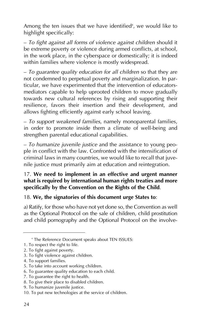Among the ten issues that we have identified<sup>4</sup>, we would like to highlight specifically:

— *To fight against all forms of violence against children* should it be extreme poverty or violence during armed conflicts, at school, in the work place, in the cyberspace or domestically; it is indeed within families where violence is mostly widespread.

— *To guarantee quality education for all children* so that they are not condemned to perpetual poverty and marginalization. In particular, we have experimented that the intervention of educatorsmediators capable to help uprooted children to move gradually towards new cultural references by rising and supporting their resilience, favors their insertion and their development, and allows fighting efficiently against early school leaving.

— *To support weakened families*, namely monoparental families, in order to promote inside them a climate of well-being and strengthen parental educational capabilities.

— *To humanize juvenile justice* and the assistance to young people in conflict with the law. Confronted with the intensification of criminal laws in many countries, we would like to recall that juvenile justice must primarily aim at education and reintegration.

#### 17. **We need to implement in an effective and urgent manner what is required by international human rights treaties and more specifically by the Convention on the Rights of the Child**.

#### 18. **We, the signatories of this document urge States to**:

a) Ratify, for those who have not yet done so, the Convention as well as the Optional Protocol on the sale of children, child prostitution and child pornography and the Optional Protocol on the involve-

<sup>4</sup> The Reference Document speaks about TEN ISSUES:

<sup>1.</sup> To respect the right to life.

<sup>2.</sup> To fight against poverty.

<sup>3.</sup> To fight violence against children.

<sup>4.</sup> To support families.

<sup>5.</sup> To take into account working children.

<sup>6.</sup> To guarantee quality education to each child.

<sup>7.</sup> To guarantee the right to health.

<sup>8.</sup> To give their place to disabled children.

<sup>9.</sup> To humanize juvenile justice.

<sup>10.</sup> To put new technologies at the service of children.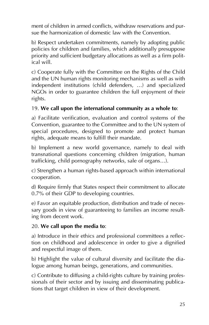ment of children in armed conflicts, withdraw reservations and pursue the harmonization of domestic law with the Convention.

b) Respect undertaken commitments, namely by adopting public policies for children and families, which additionally presuppose priority and sufficient budgetary allocations as well as a firm political will.

c) Cooperate fully with the Committee on the Rights of the Child and the UN human rights monitoring mechanisms as well as with independent institutions (child defenders, …) and specialized NGOs in order to guarantee children the full enjoyment of their rights.

#### 19. **We call upon the international community as a whole to**:

a) Facilitate verification, evaluation and control systems of the Convention, guarantee to the Committee and to the UN system of special procedures, designed to promote and protect human rights, adequate means to fulfill their mandate.

b) Implement a new world governance, namely to deal with transnational questions concerning children (migration, human trafficking, child pornography networks, sale of organs…).

c) Strengthen a human rights-based approach within international cooperation.

d) Require firmly that States respect their commitment to allocate 0.7% of their GDP to developing countries.

e) Favor an equitable production, distribution and trade of necessary goods in view of guaranteeing to families an income resulting from decent work.

#### 20. **We call upon the media to**:

a) Introduce in their ethics and professional committees a reflection on childhood and adolescence in order to give a dignified and respectful image of them.

b) Highlight the value of cultural diversity and facilitate the dialogue among human beings, generations, and communities.

c) Contribute to diffusing a child-rights culture by training professionals of their sector and by issuing and disseminating publications that target children in view of their development.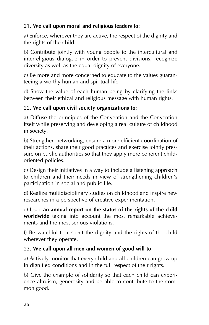# 21. **We call upon moral and religious leaders to**:

a) Enforce, wherever they are active, the respect of the dignity and the rights of the child.

b) Contribute jointly with young people to the intercultural and interreligious dialogue in order to prevent divisions, recognize diversity as well as the equal dignity of everyone.

c) Be more and more concerned to educate to the values guaranteeing a worthy human and spiritual life.

d) Show the value of each human being by clarifying the links between their ethical and religious message with human rights.

# 22. **We call upon civil society organizations to**:

a) Diffuse the principles of the Convention and the Convention itself while preserving and developing a real culture of childhood in society.

b) Strengthen networking, ensure a more efficient coordination of their actions, share their good practices and exercise jointly pressure on public authorities so that they apply more coherent childoriented policies.

c) Design their initiatives in a way to include a listening approach to children and their needs in view of strengthening children's participation in social and public life.

d) Realize multidisciplinary studies on childhood and inspire new researches in a perspective of creative experimentation.

e) Issue **an annual report on the status of the rights of the child worldwide** taking into account the most remarkable achievements and the most serious violations.

f) Be watchful to respect the dignity and the rights of the child wherever they operate.

# 23. **We call upon all men and women of good will to**:

a) Actively monitor that every child and all children can grow up in dignified conditions and in the full respect of their rights.

b) Give the example of solidarity so that each child can experience altruism, generosity and be able to contribute to the common good.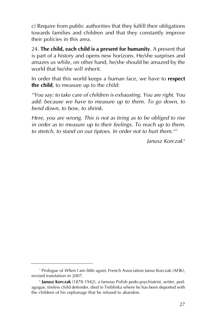c) Require from public authorities that they fulfill their obligations towards families and children and that they constantly improve their policies in this area.

24. **The child, each child is a present for humanity**. A present that is part of a history and opens new horizons. He/she surprises and amazes us while, on other hand, he/she should be amazed by the world that he/she will inherit.

In order that this world keeps a human face, we have to **respect the child**, to measure up to the child:

*"You say: to take care of children is exhausting. You are right. You add: because we have to measure up to them. To go down, to bend down, to bow, to shrink.*

*Here, you are wrong. This is not as tiring as to be obliged to rise in order as to measure up to their feelings. To reach up to them,* to stretch, to stand on our tiptoes. In order not to hurt them.<sup>45</sup>

*Janusz Korczak* <sup>6</sup>

<sup>5</sup> Prologue of *When I am little again*, French Association Janus Korczak (AFJK), revised translation in 2007.

<sup>6</sup> **Janusz Korczak** (1878-1942), a famous Polish pedo-psychiatrist, writer, pedagogue, tireless child defender, died in Treblinka where he has been deported with the children of his orphanage that he refused to abandon.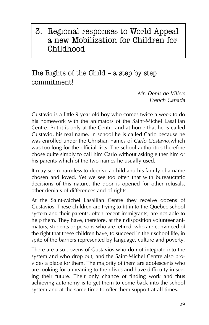# 3. Regional responses to World Appeal a new Mobilization for Children for Childhood

The Rights of the Child  $-$  a step by step commitment!

> *Mr. Denis de Villers French Canada*

Gustavio is a little 9 year old boy who comes twice a week to do his homework with the animators of the Saint-Michel Lasallian Centre. But it is only at the Centre and at home that he is called Gustavio, his real name. In school he is called Carlo because he was enrolled under the Christian names of *Carlo Gustavio*,which was too long for the official lists. The school authorities therefore chose quite simply to call him Carlo without asking either him or his parents which of the two names he usually used.

It may seem harmless to deprive a child and his family of a name chosen and loved. Yet we see too often that with bureaucratic decisions of this nature, the door is opened for other refusals, other denials of differences and of rights.

At the Saint-Michel Lasallian Centre they receive dozens of Gustavios. These children are trying to fit in to the Quebec school system and their parents, often recent immigrants, are not able to help them. They have, therefore, at their disposition volunteer animators, students or persons who are retired, who are convinced of the right that these children have, to succeed in their school life, in spite of the barriers represented by language, culture and poverty.

There are also dozens of Gustavios who do not integrate into the system and who drop out, and the Saint-Michel Centre also provides a place for them. The majority of them are adolescents who are looking for a meaning to their lives and have difficulty in seeing their future. Their only chance of finding work and thus achieving autonomy is to get them to come back into the school system and at the same time to offer them support at all times.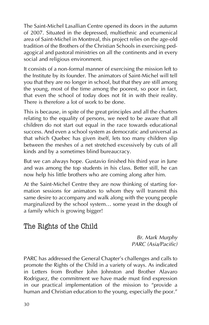The Saint-Michel Lasallian Centre opened its doors in the autumn of 2007. Situated in the depressed, multiethnic and ecumenical area of Saint-Michel in Montreal, this project relies on the age-old tradition of the Brothers of the Christian Schools in exercising pedagogical and pastoral ministries on all the continents and in every social and religious environment.

It consists of a non-formal manner of exercising the mission left to the Institute by its founder. The animators of Saint-Michel will tell you that they are no longer in school, but that they are still among the young, most of the time among the poorest, so poor in fact, that even the school of today does not fit in with their reality. There is therefore a lot of work to be done.

This is because, in spite of the great principles and all the charters relating to the equality of persons, we need to be aware that all children do not start out equal in the race towards educational success. And even a school system as democratic and universal as that which Quebec has given itself, lets too many children slip between the meshes of a net stretched excessively by cuts of all kinds and by a sometimes blind bureaucracy.

But we can always hope. Gustavio finished his third year in June and was among the top students in his class. Better still, he can now help his little brothers who are coming along after him.

At the Saint-Michel Centre they are now thinking of starting formation sessions for animators to whom they will transmit this same desire to accompany and walk along with the young people marginalized by the school system… some yeast in the dough of a family which is growing bigger!

# The Rights of the Child

*Br. Mark Murphy PARC (Asia/Pacific)*

PARC has addressed the General Chapter's challenges and calls to promote the Rights of the Child in a variety of ways. As indicated in Letters from Brother John Johnston and Brother Alavaro Rodriguez, the commitment we have made must find expression in our practical implementation of the mission to "provide a human and Christian education to the young, especially the poor."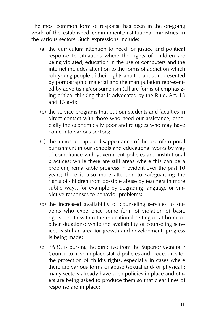The most common form of response has been in the on-going work of the established commitments/institutional ministries in the various sectors. Such expressions include:

- (a) the curriculum attention to need for justice and political response to situations where the rights of children are being violated; education in the use of computers and the internet includes attention to the forms of addiction which rob young people of their rights and the abuse represented by pornographic material and the manipulation represented by advertising/consumerism (all are forms of emphasizing critical thinking that is advocated by the Rule, Art. 13 and 13 a-d);
- (b) the service programs that put our students and faculties in direct contact with those who need our assistance, especially the economically poor and refugees who may have come into various sectors;
- (c) the almost complete disappearance of the use of corporal punishment in our schools and educational works by way of compliance with government policies and institutional practices; while there are still areas where this can be a problem, remarkable progress in evident over the past 10 years; there is also more attention to safeguarding the rights of children from possible abuse by teachers in more subtle ways, for example by degrading language or vindictive responses to behavior problems;
- (d) the increased availability of counseling services to students who experience some form of violation of basic rights — both within the educational setting or at home or other situations; while the availability of counseling services is still an area for growth and development, progress is being made;
- (e) PARC is pursing the directive from the Superior General / Council to have in place stated policies and procedures for the protection of child's rights, especially in cases where there are various forms of abuse (sexual and/ or physical); many sectors already have such policies in place and others are being asked to produce them so that clear lines of response are in place;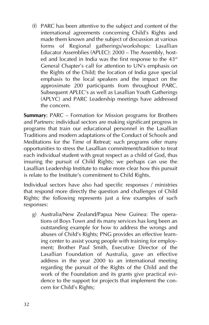(f) PARC has been attentive to the subject and content of the international agreements concerning Child's Rights and made them known and the subject of discussion at various forms of Regional gatherings/workshops: Lasallian Educator Assemblies (APLEC): 2000 — The Assembly, hosted and located in India was the first response to the  $43<sup>rd</sup>$ General Chapter's call for attention to UN's emphasis on the Rights of the Child; the location of India gave special emphasis to the local speakers and the impact on the approximate 200 participants from throughout PARC. Subsequent APLEC's as well as Lasallian Youth Gatherings (APLYC) and PARC Leadership meetings have addressed the concern.

**Summary**: PARC — Formation for Mission programs for Brothers and Partners: individual sectors are making significant progress in programs that train our educational personnel in the Lasallian Traditions and modern adaptations of the Conduct of Schools and Meditations for the Time of Retreat; such programs offer many opportunities to stress the Lasallian commitment/tradition to treat each individual student with great respect as a child of God, thus insuring the pursuit of Child Rights; we perhaps can use the Lasallian Leadership Institute to make more clear how this pursuit is relate to the Institute's commitment to Child Rights.

Individual sectors have also had specific responses / ministries that respond more directly the question and challenges of Child Rights; the following represents just a few examples of such responses:

g) Australia/New Zealand/Papua New Guinea: The operations of Boys Town and its many services has long been an outstanding example for how to address the wrongs and abuses of Child's Rights; PNG provides an effective learning center to assist young people with training for employment; Brother Paul Smith, Executive Director of the Lasallian Foundation of Australia, gave an effective address in the year 2000 to an international meeting regarding the pursuit of the Rights of the Child and the work of the Foundation and its grants give practical evidence to the support for projects that implement the concern for Child's Rights;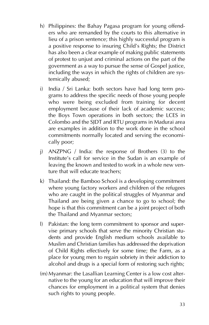- h) Philippines: the Bahay Pagasa program for young offenders who are remanded by the courts to this alternative in lieu of a prison sentence; this highly successful program is a positive response to insuring Child's Rights; the District has also been a clear example of making public statements of protest to unjust and criminal actions on the part of the government as a way to pursue the sense of Gospel justice, including the ways in which the rights of children are systemically abused;
- i) India / Sri Lanka: both sectors have had long term programs to address the specific needs of those young people who were being excluded from training for decent employment because of their lack of academic success; the Boys Town operations in both sectors; the LCES in Colombo and the SJDT and RTU programs in Madurai area are examples in addition to the work done in the school commitments normally located and serving the economically poor;
- j) ANZPNG / India: the response of Brothers (3) to the Institute's call for service in the Sudan is an example of leaving the known and tested to work in a whole new venture that will educate teachers;
- k) Thailand: the Bamboo School is a developing commitment where young factory workers and children of the refugees who are caught in the political struggles of Myanmar and Thailand are being given a chance to go to school; the hope is that this commitment can be a joint project of both the Thailand and Myanmar sectors;
- l) Pakistan: the long term commitment to sponsor and supervise primary schools that serve the minority Christian students and provide English medium schools available to Muslim and Christian families has addressed the deprivation of Child Rights effectively for some time; the Farm, as a place for young men to regain sobriety in their addiction to alcohol and drugs is a special form of restoring such rights;
- (m) Myanmar: the Lasallian Learning Center is a low cost alternative to the young for an education that will improve their chances for employment in a political system that denies such rights to young people.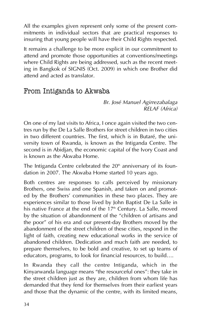All the examples given represent only some of the present commitments in individual sectors that are practical responses to insuring that young people will have their Child Rights respected.

It remains a challenge to be more explicit in our commitment to attend and promote those opportunities at conventions/meetings where Child Rights are being addressed, such as the recent meeting in Bangkok of SIGNIS (Oct. 2009) in which one Brother did attend and acted as translator.

# From Intiganda to Akwaba

*Br. José Manuel Agirrezabalaga RELAF (Africa)*

On one of my last visits to Africa, I once again visited the two centres run by the De La Salle Brothers for street children in two cities in two different countries. The first, which is in Butaré, the university town of Rwanda, is known as the Intiganda Centre. The second is in Abidjan, the economic capital of the Ivory Coast and is known as the Akwaba Home.

The Intiganda Centre celebrated the  $20<sup>th</sup>$  anniversary of its foundation in 2007. The Akwaba Home started 10 years ago.

Both centres are responses to calls perceived by missionary Brothers, one Swiss and one Spanish, and taken on and promoted by the Brothers' communities in these two places. They are experiences similar to those lived by John Baptist De La Salle in his native France at the end of the  $17<sup>th</sup>$  Century. La Salle, moved by the situation of abandonment of the "children of artisans and the poor" of his era and our present-day Brothers moved by the abandonment of the street children of these cities, respond in the light of faith, creating new educational works in the service of abandoned children. Dedication and much faith are needed, to prepare themselves, to be bold and creative, to set up teams of educators, programs, to look for financial resources, to build….

In Rwanda they call the centre Intiganda, which in the Kinyarwanda language means "the resourceful ones": they take in the street children just as they are, children from whom life has demanded that they fend for themselves from their earliest years and those that the dynamic of the centre, with its limited means,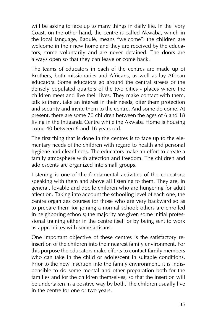will be asking to face up to many things in daily life. In the Ivory Coast, on the other hand, the centre is called Akwaba, which in the local language, Baoulé, means "welcome": the children are welcome in their new home and they are received by the educators, come voluntarily and are never detained. The doors are always open so that they can leave or come back.

The teams of educators in each of the centres are made up of Brothers, both missionaries and Africans, as well as lay African educators. Some educators go around the central streets or the densely populated quarters of the two cities - places where the children meet and live their lives. They make contact with them, talk to them, take an interest in their needs, offer them protection and security and invite them to the centre. And some do come. At present, there are some 70 children between the ages of 6 and 18 living in the Intiganda Centre while the Akwaba Home is housing come 40 between 6 and 16 years old.

The first thing that is done in the centres is to face up to the elementary needs of the children with regard to health and personal hygiene and cleanliness. The educators make an effort to create a family atmosphere with affection and freedom. The children and adolescents are organized into small groups.

Listening is one of the fundamental activities of the educators: speaking with them and above all listening to them. They are, in general, lovable and docile children who are hungering for adult affection. Taking into account the schooling level of each one, the centre organizes courses for those who are very backward so as to prepare them for joining a normal school; others are enrolled in neighboring schools; the majority are given some initial professional training either in the centre itself or by being sent to work as apprentices with some artisans.

One important objective of these centres is the satisfactory reinsertion of the children into their nearest family environment. For this purpose the educators make efforts to contact family members who can take in the child or adolescent in suitable conditions. Prior to the new insertion into the family environment, it is indispensible to do some mental and other preparation both for the families and for the children themselves, so that the insertion will be undertaken in a positive way by both. The children usually live in the centre for one or two years.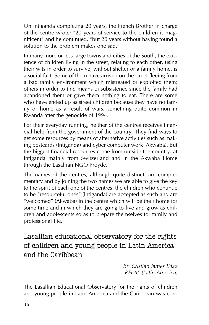On Intiganda completing 20 years, the French Brother in charge of the centre wrote; "20 years of service to the children is magnificent" and he continued, "but 20 years without having found a solution to the problem makes one sad."

In many more or less large towns and cities of the South, the existence of children living in the street, relating to each other, using their wits in order to survive, without shelter or a family home, is a social fact. Some of them have arrived on the street fleeing from a bad family environment which mistreated or exploited them; others in order to find means of subsistence since the family had abandoned them or gave them nothing to eat. There are some who have ended up as street children because they have no family or home as a result of wars, something quite common in Rwanda after the genocide of 1994.

For their everyday running, neither of the centres receives financial help from the government of the country. They find ways to get some resources by means of alternative activities such as making postcards (Intiganda) and cyber computer work (Akwaba). But the biggest financial resources come from outside the country: at Intiganda mainly from Switzerland and in the Akwaba Home through the Lasallian NGO Proyde.

The names of the centres, although quite distinct, are complementary and by joining the two names we are able to give the key to the spirit of each one of the centres: the children who continue to be "resourceful ones" (Intiganda) are accepted as such and are "welcomed" (Akwaba) in the centre which will be their home for some time and in which they are going to live and grow as children and adolescents so as to prepare themselves for family and professional life.

Lasallian educational observatory for the rights of children and young people in Latin America and the Caribbean

> *Br. Cristian James Diaz RELAL (Latin America)*

The Lasallian Educational Observatory for the rights of children and young people in Latin America and the Caribbean was con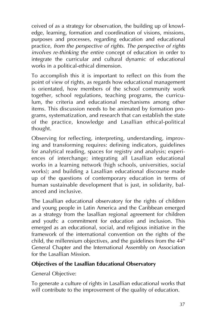ceived of as a strategy for observation, the building up of knowledge, learning, formation and coordination of visions, missions, purposes and processes, regarding education and educational practice, *from the perspective of rights. The perspective of rights involves re-thinking the entire* concept of education in order to integrate the curricular and cultural dynamic of educational works in a political-ethical dimension.

To accomplish this it is important to reflect on this from the point of view of rights, as regards how educational management is orientated, how members of the school community work together, school regulations, teaching programs, the curriculum, the criteria and educational mechanisms among other items. This discussion needs to be animated by formation programs, systematization, and research that can establish the state of the practice, knowledge and Lasallian ethical-political thought.

Observing for reflecting, interpreting, understanding, improving and transforming requires: defining indicators, guidelines for analytical reading, spaces for registry and analysis; experiences of interchange; integrating all Lasallian educational works in a learning network (high schools, universities, social works); and building a Lasallian educational discourse made up of the questions of contemporary education in terms of human sustainable development that is just, in solidarity, balanced and inclusive.

The Lasallian educational observatory for the rights of children and young people in Latin America and the Caribbean emerged as a strategy from the lasallian regional agreement for children and youth: a commitment for education and inclusion. This emerged as an educational, social, and religious initiative in the framework of the international convention on the rights of the child, the millennium objectives, and the guidelines from the  $44<sup>th</sup>$ General Chapter and the International Assembly on Association for the Lasallian Mission.

#### **Objectives of the Lasallian Educational Observatory**

General Objective:

To generate a culture of rights in Lasallian educational works that will contribute to the improvement of the quality of education.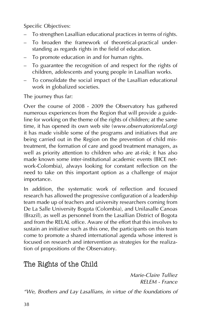Specific Objectives:

- To strengthen Lasallian educational practices in terms of rights.
- To broaden the framework of theoretical-practical understanding as regards rights in the field of education.
- To promote education in and for human rights.
- To guarantee the recognition of and respect for the rights of children, adolescents and young people in Lasallian works.
- To consolidate the social impact of the Lasallian educational work in globalized societies.

The journey thus far:

Over the course of 2008 - 2009 the Observatory has gathered numerous experiences from the Region that will provide a guideline for working on the theme of the rights of children; at the same time, it has opened its own web site (*www.observatoriorelal.org*) it has made visible some of the programs and initiatives that are being carried out in the Region on the prevention of child mistreatment, the formation of care and good treatment managers, as well as priority attention to children who are at-risk; it has also made known some inter-institutional academic events (BICE network-Colombia), always looking for constant reflection on the need to take on this important option as a challenge of major importance.

In addition, the systematic work of reflection and focused research has allowed the progressive configuration of a leadership team made up of teachers and university researchers coming from De La Salle University Bogota (Colombia), and Unilasalle Canoas (Brazil), as well as personnel from the Lasallian District of Bogota and from the RELAL office. Aware of the effort that this involves to sustain an initiative such as this one, the participants on this team come to promote a shared international agenda whose interest is focused on research and intervention as strategies for the realization of propositions of the Observatory.

# The Rights of the Child

*Marie-Claire Tulliez RELEM - France*

*"We, Brothers and Lay Lasallians, in virtue of the foundations of*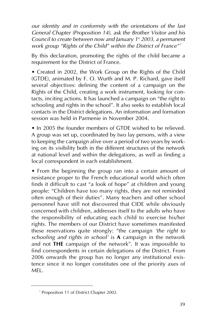*our identity and in conformity with the orientations of the last General Chapter (Proposition 14), ask the Brother Visitor and his Council to create between now and January 1st 2003, a permanent work group "Rights of the Child" within the District of France"* <sup>7</sup>

By this declaration, promoting the rights of the child became a requirement for the District of France.

• Created in 2002, the Work Group on the Rights of the Child (GTDE), animated by F. O. Wurth and M. P. Richard, gave itself several objectives: defining the content of a campaign on the Rights of the Child, creating a work instrument, looking for contacts, inciting actions. It has launched a campaign on "the right to schooling and rights in the school". It also seeks to establish local contacts in the District delegations. An information and formation session was held in Parmenie in November 2004.

• In 2005 the founder members of GTDE wished to be relieved. A group was set up, coordinated by two lay persons, with a view to keeping the campaign alive over a period of two years by working on its visibility both in the different structures of the network at national level and within the delegations, as well as finding a local correspondent in each establishment.

• From the beginning the group ran into a certain amount of resistance proper to the French educational world which often finds it difficult to cast "a look of hope" at children and young people: "Children have too many rights, they are not reminded often enough of their duties". Many teachers and other school personnel have still not discovered that CIDE while obviously concerned with children, addresses itself to the adults who have the responsibility of educating each child to exercise his/her rights. The members of our District have sometimes manifested these reservations quite strongly: "the campaign *'the right to schooling and rights in school'* is **A** campaign in the network and not **THE** campaign of the network". It was impossible to find correspondents in certain delegations of the District. From 2006 onwards the group has no longer any institutional existence since it no longer constitutes one of the priority axes of **MEL.** 

<sup>7</sup> Proposition 11 of District Chapter 2002.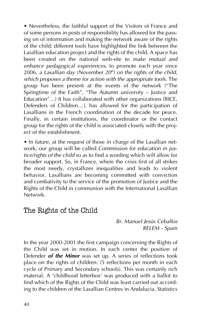• Nevertheless, the faithful support of the Visitors of France and of some persons in posts of responsibility has allowed for the passing on of information and making the network aware of the rights of the child: different tools have highlighted the link between the Lasallian education project and the rights of the child. A space has been created on the national web-site *to make mutual and enhance pedagogical experiences*, to promote each year since 2006, a Lasallian day (November 20<sup>th</sup>) on the rights of the child, *which proposes a theme for action with the appropriate tools*. The group has been present at the events of the network ("The Springtime of the Faith", "The Autumn university — Justice and Education"…) It has collaborated with other organizations (BICE, Defenders of Children…), has allowed for the participation of Lasallians in the French coordination of the decade for peace. Finally, in certain institutions, the coordinator or the contact group for the rights of the child is associated closely with the project of the establishment.

• In future, at the request of those in charge of the Lasallian network, our group will be called *Commission for education in justice/rights of the child* so as to find a wording which will allow for broader support. So, in France, where the crisis first of all strikes the most needy, crystallizes inequalities and leads to violent behavior, Lasallians are becoming committed with conviction and combativity to the service of the promotion of Justice and the Rights of the Child in communion with the International Lasallian Network.

# The Rights of the Child

*Br. Manuel Jesús Ceballos RELEM - Spain*

In the year 2000-2001 the first campaign concerning the Rights of the Child was set in motion. In each center the position of Defender *of the Minor* was set up. A series of reflections took place on the rights of children. (5 reflections per month in each cycle of Primary and Secondary schools). This was certainly rich material. A 'childhood letterbox' was produced with a ballot to find which of the Rights of the Child was least carried out according to the children of the Lasallian Centres in Andalucia. Statistics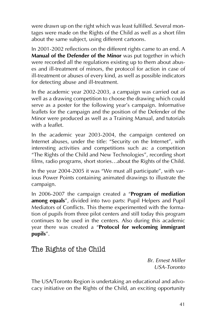were drawn up on the right which was least fulfilled. Several montages were made on the Rights of the Child as well as a short film about the same subject, using different cartoons.

In 2001-2002 reflections on the different rights came to an end. A **Manual of the Defender of the Minor** was put together in which were recorded all the regulations existing up to them about abuses and ill-treatment of minors, the protocol for action in case of ill-treatment or abuses of every kind, as well as possible indicators for detecting abuse and ill-treatment.

In the academic year 2002-2003, a campaign was carried out as well as a drawing competition to choose the drawing which could serve as a poster for the following year's campaign. Informative leaflets for the campaign and the position of the Defender of the Minor were produced as well as a Training Manual, and tutorials with a leaflet.

In the academic year 2003-2004, the campaign centered on Internet abuses, under the title: "Security on the Internet", with interesting activities and competitions such as: a competition "The Rights of the Child and New Technologies", recording short films, radio programs, short stories…about the Rights of the Child.

In the year 2004-2005 it was "We must all participate", with various Power Points containing animated drawings to illustrate the campaign.

In 2006-2007 the campaign created a "**Program of mediation among equals**", divided into two parts: Pupil Helpers and Pupil Mediators of Conflicts. This theme experimented with the formation of pupils from three pilot centers and still today this program continues to be used in the centers. Also during this academic year there was created a "**Protocol for welcoming immigrant pupils**".

# The Rights of the Child

*Br. Ernest Miller USA-Toronto*

The USA/Toronto Region is undertaking an educational and advocacy initiative on the Rights of the Child, an exciting opportunity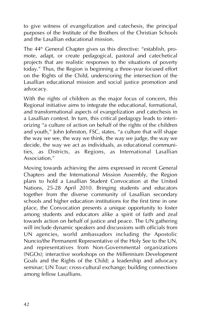to give witness of evangelization and catechesis, the principal purposes of the Institute of the Brothers of the Christian Schools and the Lasallian educational mission.

The  $44<sup>th</sup>$  General Chapter gives us this directive: "establish, promote, adapt, or create pedagogical, pastoral and catechetical projects that are realistic responses to the situations of poverty today." Thus, the Region is beginning a three-year focused effort on the Rights of the Child, underscoring the intersection of the Lasallian educational mission and social justice promotion and advocacy.

With the rights of children as the major focus of concern, this Regional initiative aims to integrate the educational, formational, and transformational aspects of evangelization and catechesis in a Lasallian context. In turn, this critical pedagogy leads to interiorizing "a culture of action on behalf of the rights of the children and youth," John Johnston, FSC, states, "a culture that will shape the way we see, the way we think, the way we judge, the way we decide, the way we act as individuals, as educational communities, as Districts, as Regions, as International Lasallian Association."

Moving towards achieving the aims expressed in recent General Chapters and the International Mission Assembly, the Region plans to hold a Lasallian Student Convocation at the United Nations, 25-28 April 2010. Bringing students and educators together from the diverse community of Lasallian secondary schools and higher education institutions for the first time in one place, the Convocation presents a unique opportunity to foster among students and educators alike a spirit of faith and zeal towards action on behalf of justice and peace. The UN gathering will include dynamic speakers and discussions with officials from UN agencies, world ambassadors including the Apostolic Nuncio/the Permanent Representative of the Holy See to the UN, and representatives from Non-Governmental organizations (NGOs); interactive workshops on the Millennium Development Goals and the Rights of the Child; a leadership and advocacy seminar; UN Tour; cross-cultural exchange; building connections among fellow Lasallians.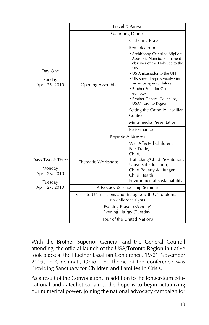|                                                                           | Travel & Arrival                                                            |                                                                                                          |  |
|---------------------------------------------------------------------------|-----------------------------------------------------------------------------|----------------------------------------------------------------------------------------------------------|--|
|                                                                           | <b>Gathering Dinner</b>                                                     |                                                                                                          |  |
|                                                                           | <b>Opening Assembly</b>                                                     | <b>Gathering Prayer</b>                                                                                  |  |
| Day One<br>Sunday<br>April 25, 2010                                       |                                                                             | Remarks from                                                                                             |  |
|                                                                           |                                                                             | • Archbishop Celestino Migliore,<br>Apostolic Nuncio. Permanent<br>observer of the Holy see to the<br>UN |  |
|                                                                           |                                                                             | • US Ambassador to the UN                                                                                |  |
|                                                                           |                                                                             | • UN special representative for<br>violence against children                                             |  |
|                                                                           |                                                                             | · Brother Superior General<br>(remote)                                                                   |  |
|                                                                           |                                                                             | • Brother General Councilor,<br>USA/ Toronto Region                                                      |  |
|                                                                           |                                                                             | Setting the Catholic Lasallian<br>Context                                                                |  |
|                                                                           |                                                                             | Multi-media Presentation                                                                                 |  |
|                                                                           |                                                                             | Performance                                                                                              |  |
|                                                                           | Keynote Addresses                                                           |                                                                                                          |  |
| Days Two & Three<br>Monday<br>April 26, 2010<br>Tuesday<br>April 27, 2010 | Thematic Workshops                                                          | War Affected Children,<br>Fair Trade,<br>Child.<br>Trafficking/Child Prostitution,                       |  |
|                                                                           |                                                                             | Universal Education,<br>Child Poverty & Hunger,<br>Child Health,<br>Environmental Sustainability         |  |
|                                                                           | Advocacy & Leadership Seminar                                               |                                                                                                          |  |
|                                                                           | Visits to UN missions and dialogue with UN diplomats<br>on childrens rights |                                                                                                          |  |
|                                                                           | Evening Prayer (Monday)<br>Evening Liturgy (Tuesday)                        |                                                                                                          |  |
|                                                                           | Tour of the United Nations                                                  |                                                                                                          |  |

With the Brother Superior General and the General Council attending, the official launch of the USA/Toronto Region initiative took place at the Huether Lasallian Conference, 19-21 November 2009, in Cincinnati, Ohio. The theme of the conference was Providing Sanctuary for Children and Families in Crisis.

As a result of the Convocation, in addition to the longer-term educational and catechetical aims, the hope is to begin actualizing our numerical power, joining the national advocacy campaign for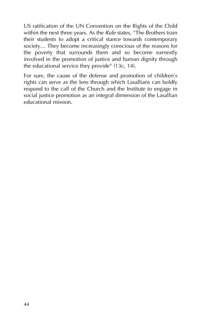US ratification of the UN Convention on the Rights of the Child within the next three years. As the *Rule* states, "The Brothers train their students to adopt a critical stance towards contemporary society… They become increasingly conscious of the reasons for the poverty that surrounds them and so become earnestly involved in the promotion of justice and human dignity through the educational service they provide" (13c, 14).

For sure, the cause of the defense and promotion of children's rights can serve as the lens through which Lasallians can boldly respond to the call of the Church and the Institute to engage in social justice promotion as an integral dimension of the Lasallian educational mission.